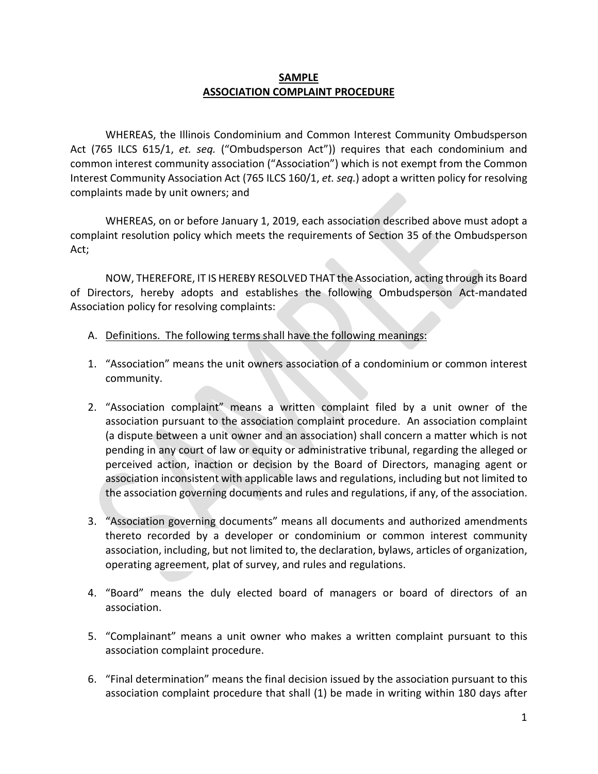## **SAMPLE ASSOCIATION COMPLAINT PROCEDURE**

WHEREAS, the Illinois Condominium and Common Interest Community Ombudsperson Act (765 ILCS 615/1, *et. seq.* ("Ombudsperson Act")) requires that each condominium and common interest community association ("Association") which is not exempt from the Common Interest Community Association Act (765 ILCS 160/1, *et. seq.*) adopt a written policy for resolving complaints made by unit owners; and

WHEREAS, on or before January 1, 2019, each association described above must adopt a complaint resolution policy which meets the requirements of Section 35 of the Ombudsperson Act;

NOW, THEREFORE, IT IS HEREBY RESOLVED THAT the Association, acting through its Board of Directors, hereby adopts and establishes the following Ombudsperson Act-mandated Association policy for resolving complaints:

- A. Definitions. The following terms shall have the following meanings:
- 1. "Association" means the unit owners association of a condominium or common interest community.
- 2. "Association complaint" means a written complaint filed by a unit owner of the association pursuant to the association complaint procedure. An association complaint (a dispute between a unit owner and an association) shall concern a matter which is not pending in any court of law or equity or administrative tribunal, regarding the alleged or perceived action, inaction or decision by the Board of Directors, managing agent or association inconsistent with applicable laws and regulations, including but not limited to the association governing documents and rules and regulations, if any, of the association.
- 3. "Association governing documents" means all documents and authorized amendments thereto recorded by a developer or condominium or common interest community association, including, but not limited to, the declaration, bylaws, articles of organization, operating agreement, plat of survey, and rules and regulations.
- 4. "Board" means the duly elected board of managers or board of directors of an association.
- 5. "Complainant" means a unit owner who makes a written complaint pursuant to this association complaint procedure.
- 6. "Final determination" means the final decision issued by the association pursuant to this association complaint procedure that shall (1) be made in writing within 180 days after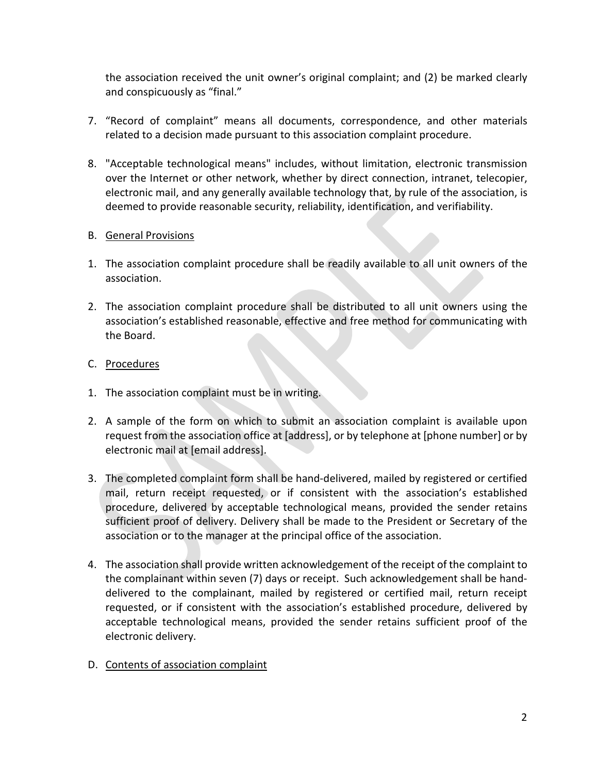the association received the unit owner's original complaint; and (2) be marked clearly and conspicuously as "final."

- 7. "Record of complaint" means all documents, correspondence, and other materials related to a decision made pursuant to this association complaint procedure.
- 8. "Acceptable technological means" includes, without limitation, electronic transmission over the Internet or other network, whether by direct connection, intranet, telecopier, electronic mail, and any generally available technology that, by rule of the association, is deemed to provide reasonable security, reliability, identification, and verifiability.

## B. General Provisions

- 1. The association complaint procedure shall be readily available to all unit owners of the association.
- 2. The association complaint procedure shall be distributed to all unit owners using the association's established reasonable, effective and free method for communicating with the Board.

## C. Procedures

- 1. The association complaint must be in writing.
- 2. A sample of the form on which to submit an association complaint is available upon request from the association office at [address], or by telephone at [phone number] or by electronic mail at [email address].
- 3. The completed complaint form shall be hand-delivered, mailed by registered or certified mail, return receipt requested, or if consistent with the association's established procedure, delivered by acceptable technological means, provided the sender retains sufficient proof of delivery. Delivery shall be made to the President or Secretary of the association or to the manager at the principal office of the association.
- 4. The association shall provide written acknowledgement of the receipt of the complaint to the complainant within seven (7) days or receipt. Such acknowledgement shall be handdelivered to the complainant, mailed by registered or certified mail, return receipt requested, or if consistent with the association's established procedure, delivered by acceptable technological means, provided the sender retains sufficient proof of the electronic delivery.
- D. Contents of association complaint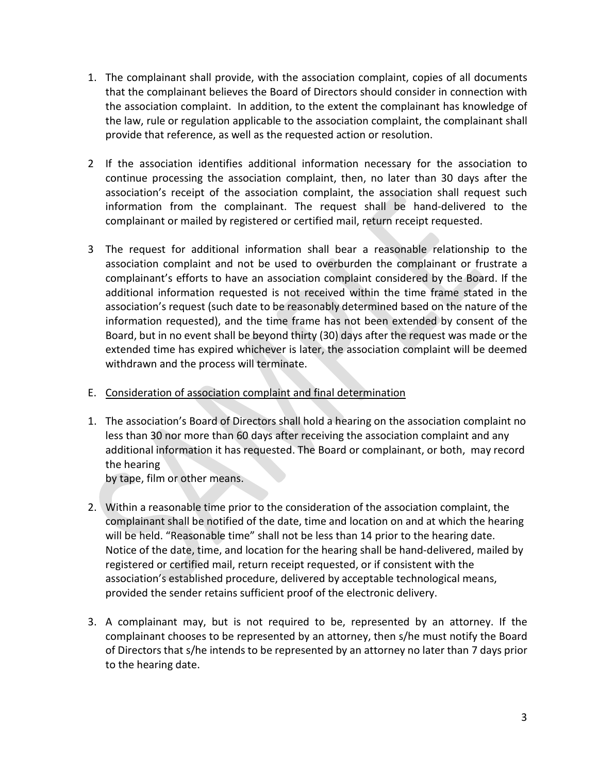- 1. The complainant shall provide, with the association complaint, copies of all documents that the complainant believes the Board of Directors should consider in connection with the association complaint. In addition, to the extent the complainant has knowledge of the law, rule or regulation applicable to the association complaint, the complainant shall provide that reference, as well as the requested action or resolution.
- 2 If the association identifies additional information necessary for the association to continue processing the association complaint, then, no later than 30 days after the association's receipt of the association complaint, the association shall request such information from the complainant. The request shall be hand-delivered to the complainant or mailed by registered or certified mail, return receipt requested.
- 3 The request for additional information shall bear a reasonable relationship to the association complaint and not be used to overburden the complainant or frustrate a complainant's efforts to have an association complaint considered by the Board. If the additional information requested is not received within the time frame stated in the association's request (such date to be reasonably determined based on the nature of the information requested), and the time frame has not been extended by consent of the Board, but in no event shall be beyond thirty (30) days after the request was made or the extended time has expired whichever is later, the association complaint will be deemed withdrawn and the process will terminate.
- E. Consideration of association complaint and final determination
- 1. The association's Board of Directors shall hold a hearing on the association complaint no less than 30 nor more than 60 days after receiving the association complaint and any additional information it has requested. The Board or complainant, or both, may record the hearing

by tape, film or other means.

- 2. Within a reasonable time prior to the consideration of the association complaint, the complainant shall be notified of the date, time and location on and at which the hearing will be held. "Reasonable time" shall not be less than 14 prior to the hearing date. Notice of the date, time, and location for the hearing shall be hand-delivered, mailed by registered or certified mail, return receipt requested, or if consistent with the association's established procedure, delivered by acceptable technological means, provided the sender retains sufficient proof of the electronic delivery.
- 3. A complainant may, but is not required to be, represented by an attorney. If the complainant chooses to be represented by an attorney, then s/he must notify the Board of Directors that s/he intends to be represented by an attorney no later than 7 days prior to the hearing date.